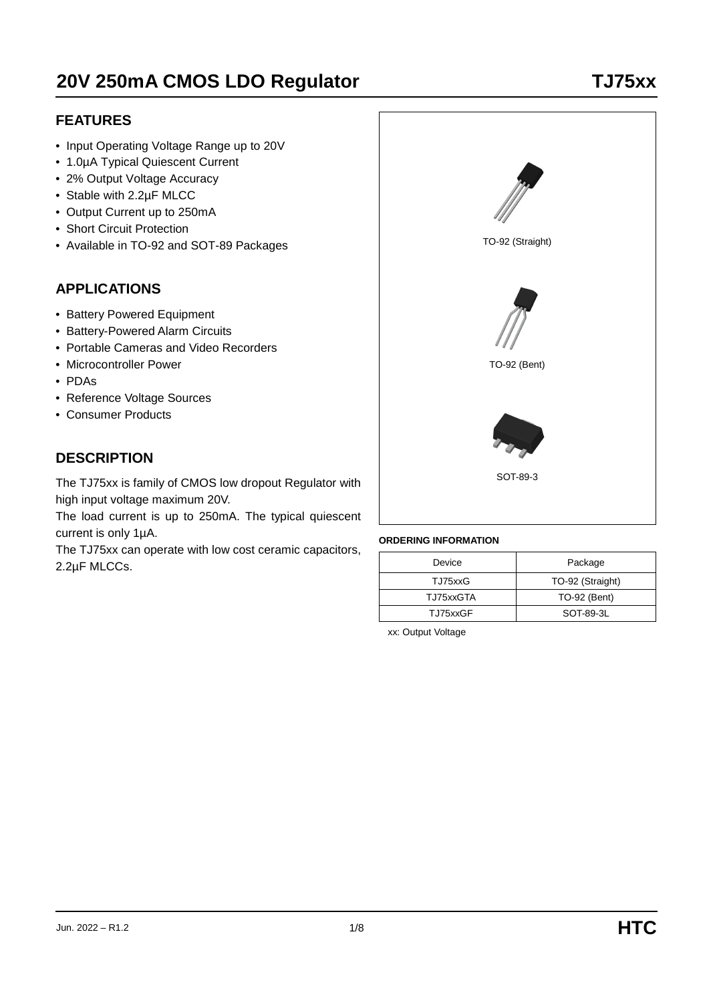# **20V 250mA CMOS LDO Regulator TJ75xx**

#### **FEATURES**

- Input Operating Voltage Range up to 20V
- 1.0µA Typical Quiescent Current
- 2% Output Voltage Accuracy
- Stable with 2.2µF MLCC
- Output Current up to 250mA
- Short Circuit Protection
- Available in TO-92 and SOT-89 Packages

#### **APPLICATIONS**

- Battery Powered Equipment
- Battery-Powered Alarm Circuits
- Portable Cameras and Video Recorders
- Microcontroller Power
- PDAs
- Reference Voltage Sources
- Consumer Products

# **DESCRIPTION**

The TJ75xx is family of CMOS low dropout Regulator with high input voltage maximum 20V.

The load current is up to 250mA. The typical quiescent current is only 1µA.

The TJ75xx can operate with low cost ceramic capacitors, 2.2µF MLCCs.



#### **ORDERING INFORMATION**

| Device    | Package          |
|-----------|------------------|
| TJ75xxG   | TO-92 (Straight) |
| TJ75xxGTA | TO-92 (Bent)     |
| TJ75xxGF  | SOT 89-3L        |

xx: Output Voltage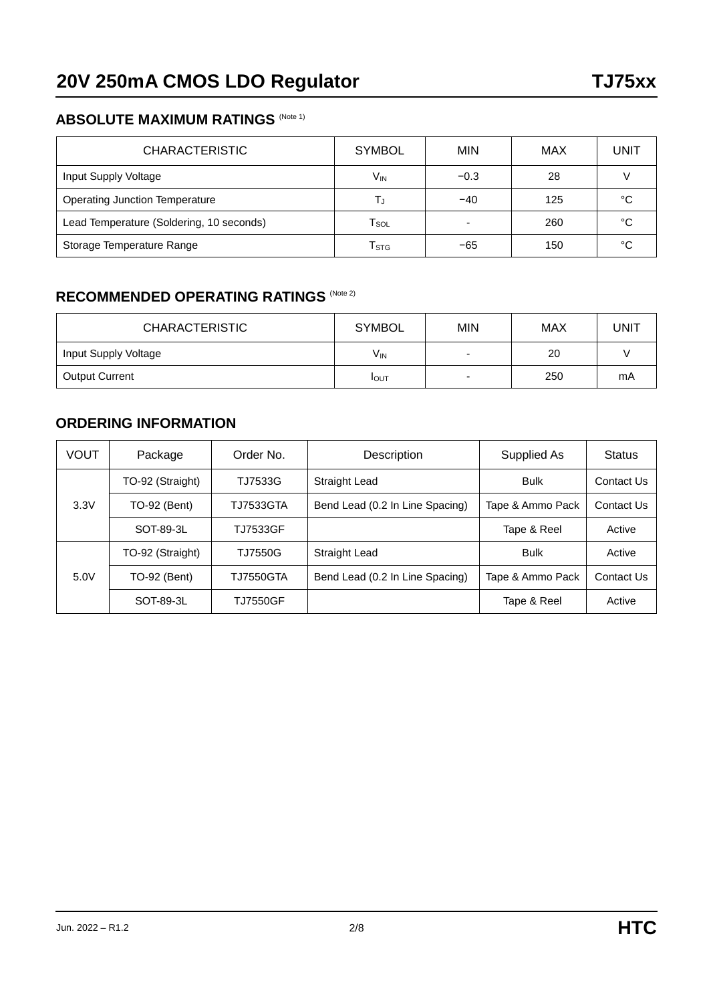#### **ABSOLUTE MAXIMUM RATINGS (Note 1)**

| <b>CHARACTERISTIC</b>                    | <b>SYMBOL</b>               | <b>MIN</b> | MAX | UNIT |
|------------------------------------------|-----------------------------|------------|-----|------|
| Input Supply Voltage                     | V <sub>IN</sub>             | $-0.3$     | 28  |      |
| <b>Operating Junction Temperature</b>    | L,                          | $-40$      | 125 | °C   |
| Lead Temperature (Soldering, 10 seconds) | $\mathsf{T}_{\mathsf{SOL}}$ |            | 260 | °C   |
| Storage Temperature Range                | $\mathsf{T}_{\texttt{STG}}$ | -65        | 150 | °C   |

## **RECOMMENDED OPERATING RATINGS (Note 2)**

| <b>CHARACTERISTIC</b> | <b>SYMBOL</b> | <b>MIN</b>               | MAX | UNIT |
|-----------------------|---------------|--------------------------|-----|------|
| Input Supply Voltage  | $V_{IN}$      | $\overline{\phantom{0}}$ | 20  |      |
| <b>Output Current</b> | <b>I</b> OUT  | $\sim$                   | 250 | mA   |

#### **ORDERING INFORMATION**

| VOUT                                     | Package             | Order No.                       | Description                     | Supplied As      | <b>Status</b> |
|------------------------------------------|---------------------|---------------------------------|---------------------------------|------------------|---------------|
| TO-92 (Straight)                         |                     | TJ7533G                         | Straight Lead                   | <b>Bulk</b>      | Contact Us    |
| 3.3V<br><b>TO-92 (Bent)</b><br>SOT-89-3L | TJ7533GTA           | Bend Lead (0.2 In Line Spacing) | Tape & Ammo Pack                | Contact Us       |               |
|                                          |                     | TJ7533GF                        |                                 | Tape & Reel      | Active        |
|                                          | TO-92 (Straight)    | TJ7550G                         | Straight Lead                   | <b>Bulk</b>      | Active        |
| 5.0V                                     | <b>TO-92 (Bent)</b> | TJ7550GTA                       | Bend Lead (0.2 In Line Spacing) | Tape & Ammo Pack | Contact Us    |
|                                          | SOT-89-3L           | TJ7550GF                        |                                 | Tape & Reel      | Active        |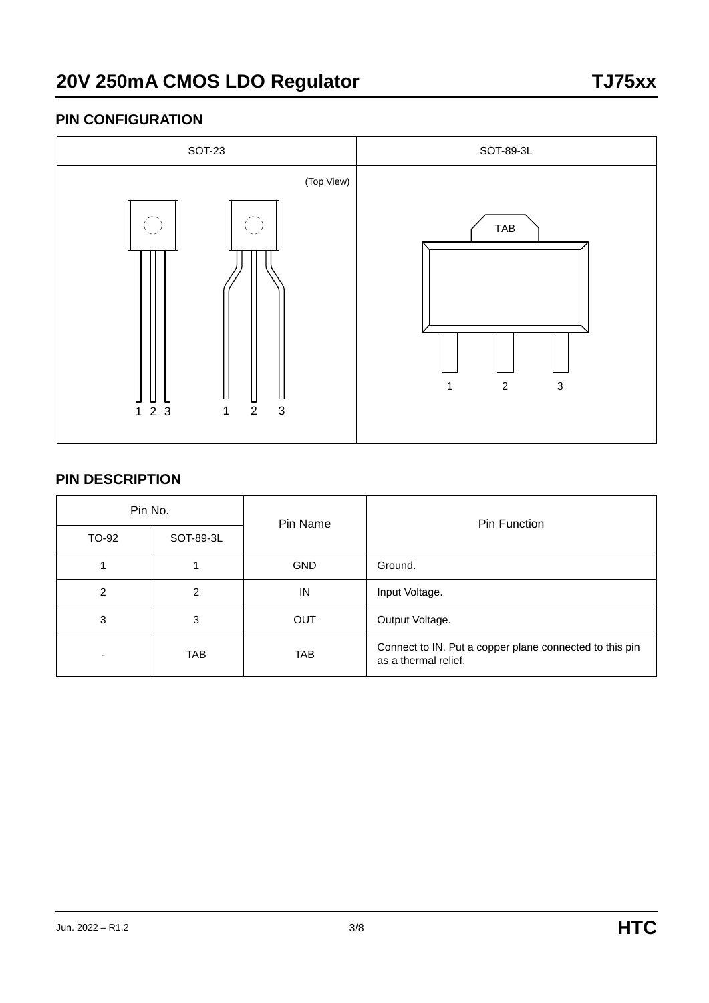#### **PIN CONFIGURATION**



#### **PIN DESCRIPTION**

| Pin No. |            | Pin Name   | Pin Function                                                                    |  |  |
|---------|------------|------------|---------------------------------------------------------------------------------|--|--|
| TO-92   | SOT-89-3L  |            |                                                                                 |  |  |
|         |            | <b>GND</b> | Ground.                                                                         |  |  |
| 2       | 2          | IN         | Input Voltage.                                                                  |  |  |
| 3       | 3          | <b>OUT</b> | Output Voltage.                                                                 |  |  |
|         | <b>TAB</b> | <b>TAB</b> | Connect to IN. Put a copper plane connected to this pin<br>as a thermal relief. |  |  |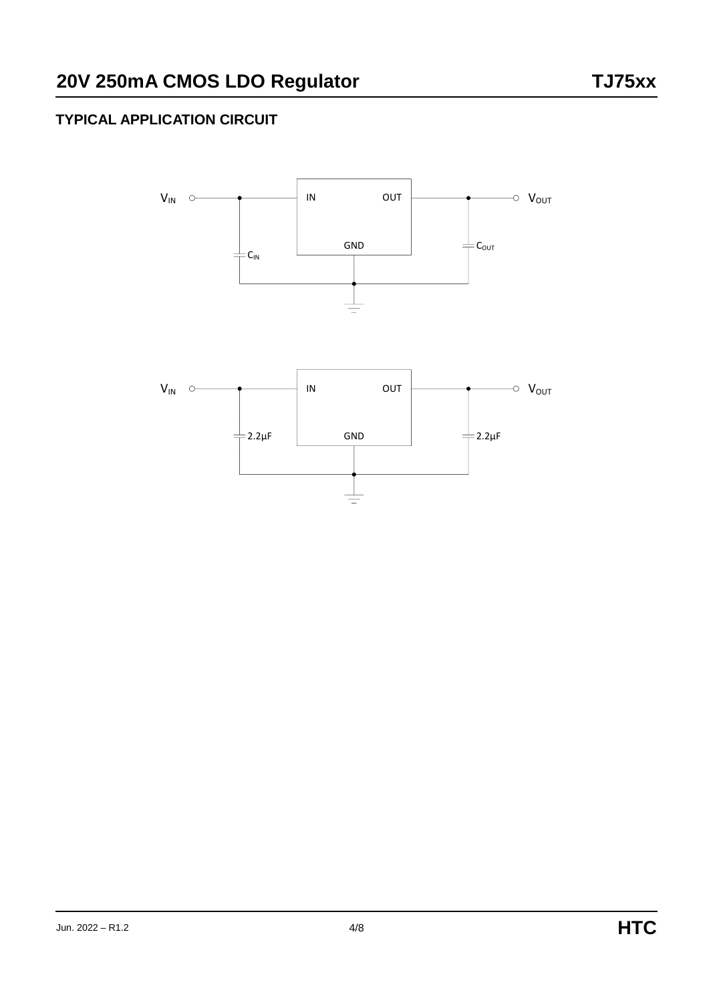# **TYPICAL APPLICATION CIRCUIT**

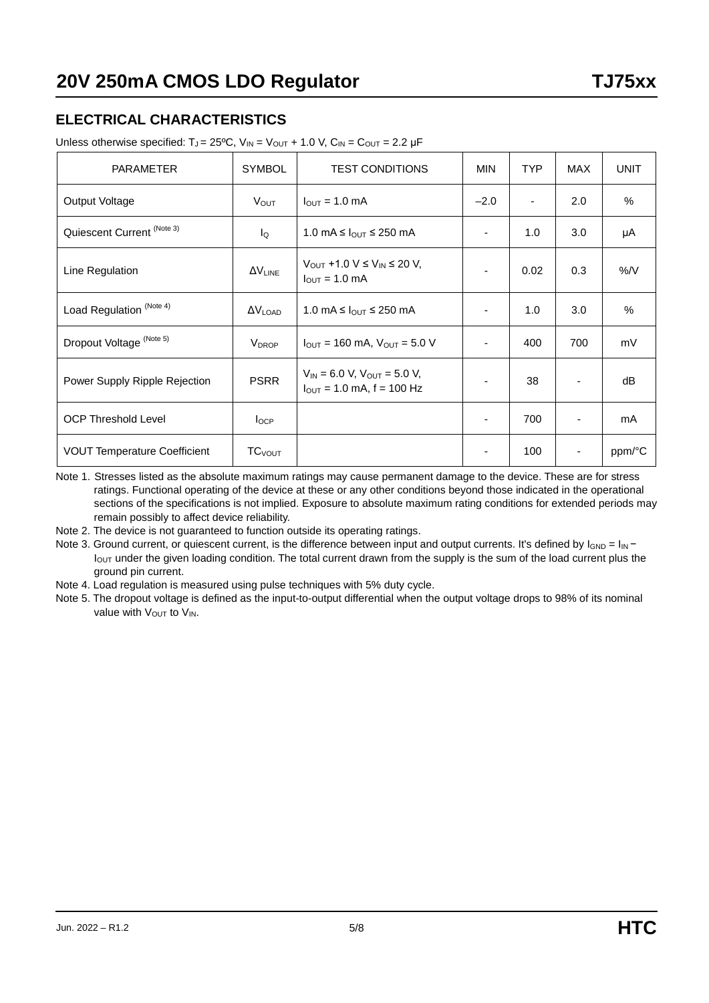## **ELECTRICAL CHARACTERISTICS**

Unless otherwise specified:  $T_J = 25^{\circ}C$ ,  $V_{IN} = V_{OUT} + 1.0 V$ ,  $C_{IN} = C_{OUT} = 2.2 \mu F$ 

| <b>PARAMETER</b>                    | <b>SYMBOL</b>             | <b>TEST CONDITIONS</b>                                                          | <b>MIN</b>               | TYP  | <b>MAX</b> | <b>UNIT</b> |
|-------------------------------------|---------------------------|---------------------------------------------------------------------------------|--------------------------|------|------------|-------------|
| Output Voltage                      | <b>V</b> out              | $l_{\text{OUT}}$ = 1.0 mA                                                       | $-2.0$                   | ٠    | 2.0        | %           |
| Quiescent Current (Note 3)          | lo                        | 1.0 mA $\leq$ $_{\text{OUT}} \leq$ 250 mA                                       | $\overline{\phantom{a}}$ | 1.0  | 3.0        | μA          |
| Line Regulation                     | $\Delta V_{LINE}$         | $V_{OUT}$ +1.0 V $\leq$ $V_{IN}$ $\leq$ 20 V,<br>$I_{OUT} = 1.0$ mA             | -                        | 0.02 | 0.3        | $\%$ /V     |
| Load Regulation <sup>(Note 4)</sup> | $\Delta V_{\text{LOAD}}$  | 1.0 mA $\leq$ $I_{\text{OUT}} \leq$ 250 mA                                      |                          | 1.0  | 3.0        | $\%$        |
| Dropout Voltage (Note 5)            | <b>V</b> <sub>DROP</sub>  | $I_{\text{OUT}} = 160 \text{ mA}$ , $V_{\text{OUT}} = 5.0 \text{ V}$            |                          | 400  | 700        | mV          |
| Power Supply Ripple Rejection       | <b>PSRR</b>               | $V_{IN}$ = 6.0 V, V <sub>OUT</sub> = 5.0 V,<br>$I_{OUT} = 1.0$ mA, $f = 100$ Hz |                          | 38   |            | dB          |
| <b>OCP Threshold Level</b>          | $I_{OCP}$                 |                                                                                 | -                        | 700  |            | mA          |
| <b>VOUT Temperature Coefficient</b> | <b>TC</b> <sub>VOUT</sub> |                                                                                 | $\overline{\phantom{a}}$ | 100  |            | ppm/°C      |

Note 1. Stresses listed as the absolute maximum ratings may cause permanent damage to the device. These are for stress ratings. Functional operating of the device at these or any other conditions beyond those indicated in the operational sections of the specifications is not implied. Exposure to absolute maximum rating conditions for extended periods may remain possibly to affect device reliability.

Note 2. The device is not guaranteed to function outside its operating ratings.

Note 3. Ground current, or quiescent current, is the difference between input and output currents. It's defined by  $I_{GND} = I_{IN}$  $I_{\text{OUT}}$  under the given loading condition. The total current drawn from the supply is the sum of the load current plus the ground pin current.

Note 4. Load regulation is measured using pulse techniques with 5% duty cycle.

Note 5. The dropout voltage is defined as the input-to-output differential when the output voltage drops to 98% of its nominal value with  $V_{\text{OUT}}$  to  $V_{\text{IN}}$ .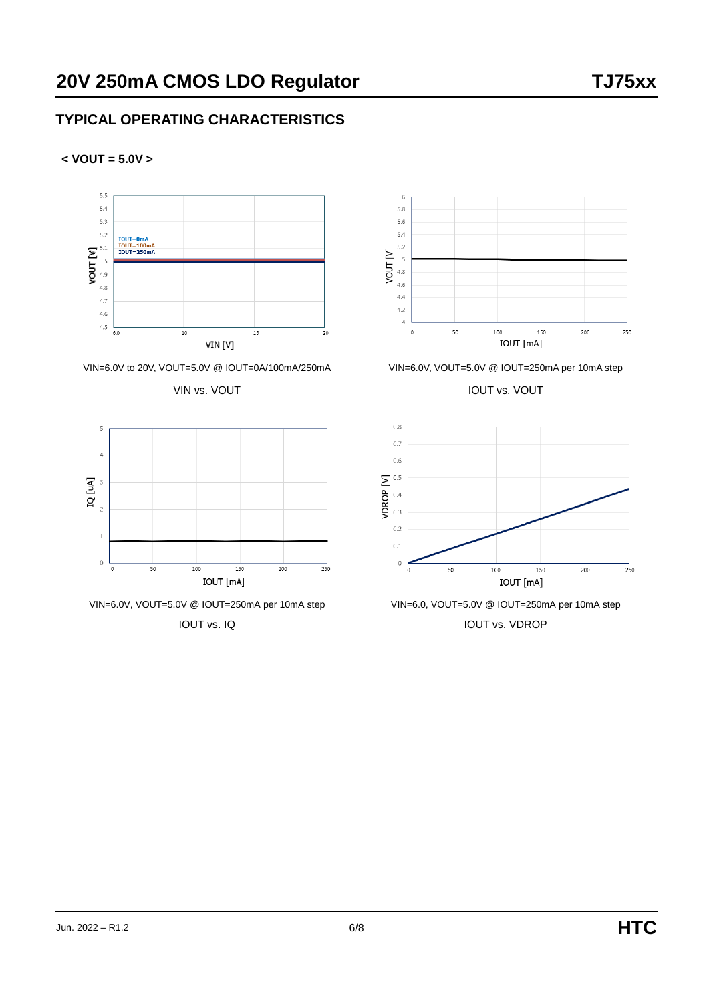#### **TYPICAL OPERATING CHARACTERISTICS**













VIN=6.0V to 20V, VOUT=5.0V @ IOUT=0A/100mA/250mA VIN=6.0V, VOUT=5.0V @ IOUT=250mA per 10mA step

VIN vs. VOUT VIN VS. VOUT



IOUT vs. IQ IOUT vs. IQ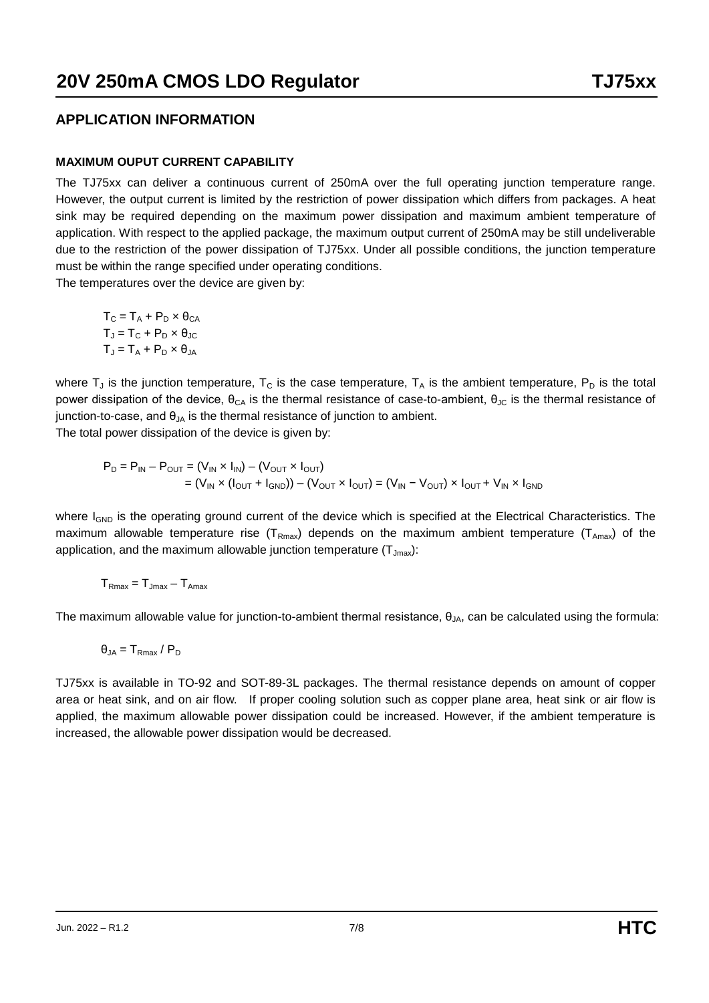#### **APPLICATION INFORMATION**

#### **MAXIMUM OUPUT CURRENT CAPABILITY**

The TJ75xx can deliver a continuous current of 250mA over the full operating junction temperature range. However, the output current is limited by the restriction of power dissipation which differs from packages. A heat sink may be required depending on the maximum power dissipation and maximum ambient temperature of application. With respect to the applied package, the maximum output current of 250mA may be still undeliverable due to the restriction of the power dissipation of TJ75xx. Under all possible conditions, the junction temperature must be within the range specified under operating conditions.

The temperatures over the device are given by:

 $T_C = T_A + P_D \times \theta_{CA}$  $T_d = T_C + P_D \times \theta_{JC}$  $T_{\text{J}} = T_{\text{A}} + P_{\text{D}} \times \theta_{\text{JA}}$ 

where  $T_J$  is the junction temperature,  $T_C$  is the case temperature,  $T_A$  is the ambient temperature,  $P_D$  is the total power dissipation of the device,  $θ<sub>CA</sub>$  is the thermal resistance of case-to-ambient,  $θ<sub>JC</sub>$  is the thermal resistance of junction-to-case, and  $\theta_{JA}$  is the thermal resistance of junction to ambient.

The total power dissipation of the device is given by:

$$
P_D = P_{IN} - P_{OUT} = (V_{IN} \times I_{IN}) - (V_{OUT} \times I_{OUT})
$$
  
= (V<sub>IN</sub> × (I<sub>OUT</sub> + I<sub>GND</sub>)) - (V<sub>OUT</sub> × I<sub>OUT</sub>) = (V<sub>IN</sub> - V<sub>OUT</sub>) × I<sub>OUT</sub> + V<sub>IN</sub> × I<sub>GND</sub>

where  $I_{GND}$  is the operating ground current of the device which is specified at the Electrical Characteristics. The maximum allowable temperature rise ( $T_{Rmax}$ ) depends on the maximum ambient temperature ( $T_{Amax}$ ) of the application, and the maximum allowable junction temperature  $(T_{Jmax})$ :

 $T<sub>Rmax</sub> = T<sub>Jmax</sub> - T<sub>Amax</sub>$ 

The maximum allowable value for junction-to-ambient thermal resistance,  $\theta_{JA}$ , can be calculated using the formula:

$$
\theta_{JA}=T_{Rmax}\,/\,P_D
$$

TJ75xx is available in TO-92 and SOT-89-3L packages. The thermal resistance depends on amount of copper area or heat sink, and on air flow. If proper cooling solution such as copper plane area, heat sink or air flow is applied, the maximum allowable power dissipation could be increased. However, if the ambient temperature is increased, the allowable power dissipation would be decreased.